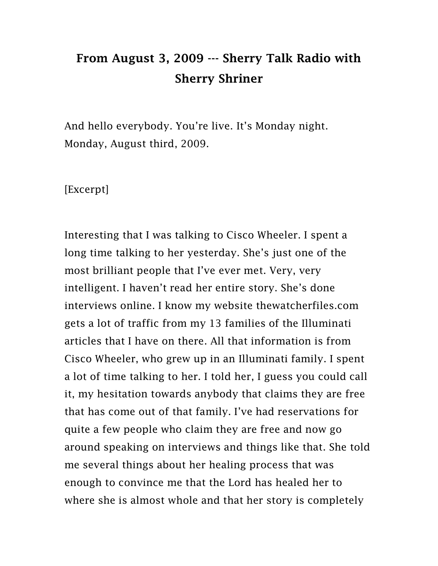## From August 3, 2009 --- Sherry Talk Radio with Sherry Shriner

And hello everybody. You're live. It's Monday night. Monday, August third, 2009.

[Excerpt]

Interesting that I was talking to Cisco Wheeler. I spent a long time talking to her yesterday. She's just one of the most brilliant people that I've ever met. Very, very intelligent. I haven't read her entire story. She's done interviews online. I know my website thewatcherfiles.com gets a lot of traffic from my 13 families of the Illuminati articles that I have on there. All that information is from Cisco Wheeler, who grew up in an Illuminati family. I spent a lot of time talking to her. I told her, I guess you could call it, my hesitation towards anybody that claims they are free that has come out of that family. I've had reservations for quite a few people who claim they are free and now go around speaking on interviews and things like that. She told me several things about her healing process that was enough to convince me that the Lord has healed her to where she is almost whole and that her story is completely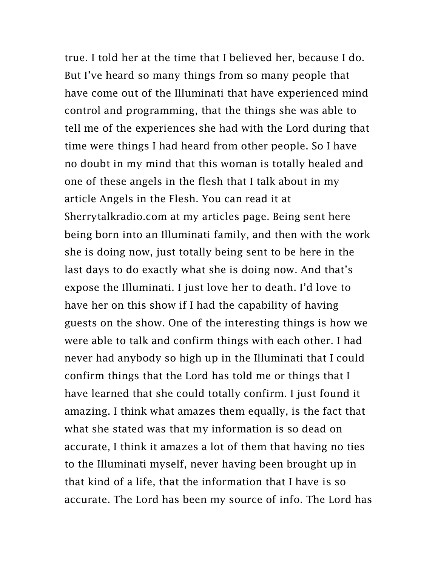true. I told her at the time that I believed her, because I do. But I've heard so many things from so many people that have come out of the Illuminati that have experienced mind control and programming, that the things she was able to tell me of the experiences she had with the Lord during that time were things I had heard from other people. So I have no doubt in my mind that this woman is totally healed and one of these angels in the flesh that I talk about in my article Angels in the Flesh. You can read it at Sherrytalkradio.com at my articles page. Being sent here being born into an Illuminati family, and then with the work she is doing now, just totally being sent to be here in the last days to do exactly what she is doing now. And that's expose the Illuminati. I just love her to death. I'd love to have her on this show if I had the capability of having guests on the show. One of the interesting things is how we were able to talk and confirm things with each other. I had never had anybody so high up in the Illuminati that I could confirm things that the Lord has told me or things that I have learned that she could totally confirm. I just found it amazing. I think what amazes them equally, is the fact that what she stated was that my information is so dead on accurate, I think it amazes a lot of them that having no ties to the Illuminati myself, never having been brought up in that kind of a life, that the information that I have is so accurate. The Lord has been my source of info. The Lord has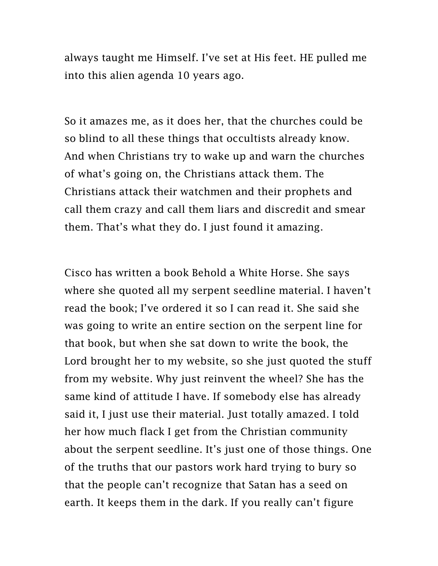always taught me Himself. I've set at His feet. HE pulled me into this alien agenda 10 years ago.

So it amazes me, as it does her, that the churches could be so blind to all these things that occultists already know. And when Christians try to wake up and warn the churches of what's going on, the Christians attack them. The Christians attack their watchmen and their prophets and call them crazy and call them liars and discredit and smear them. That's what they do. I just found it amazing.

Cisco has written a book Behold a White Horse. She says where she quoted all my serpent seedline material. I haven't read the book; I've ordered it so I can read it. She said she was going to write an entire section on the serpent line for that book, but when she sat down to write the book, the Lord brought her to my website, so she just quoted the stuff from my website. Why just reinvent the wheel? She has the same kind of attitude I have. If somebody else has already said it, I just use their material. Just totally amazed. I told her how much flack I get from the Christian community about the serpent seedline. It's just one of those things. One of the truths that our pastors work hard trying to bury so that the people can't recognize that Satan has a seed on earth. It keeps them in the dark. If you really can't figure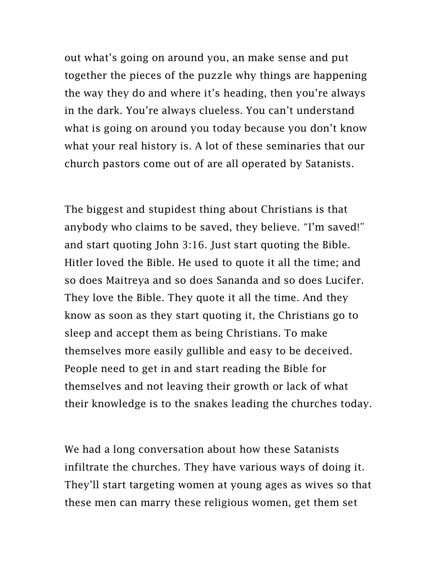out what's going on around you, an make sense and put together the pieces of the puzzle why things are happening the way they do and where it's heading, then you're always in the dark. You're always clueless. You can't understand what is going on around you today because you don't know what your real history is. A lot of these seminaries that our church pastors come out of are all operated by Satanists.

The biggest and stupidest thing about Christians is that anybody who claims to be saved, they believe. "I'm saved!" and start quoting John 3:16. Just start quoting the Bible. Hitler loved the Bible. He used to quote it all the time; and so does Maitreya and so does Sananda and so does Lucifer. They love the Bible. They quote it all the time. And they know as soon as they start quoting it, the Christians go to sleep and accept them as being Christians. To make themselves more easily gullible and easy to be deceived. People need to get in and start reading the Bible for themselves and not leaving their growth or lack of what their knowledge is to the snakes leading the churches today.

We had a long conversation about how these Satanists infiltrate the churches. They have various ways of doing it. They'll start targeting women at young ages as wives so that these men can marry these religious women, get them set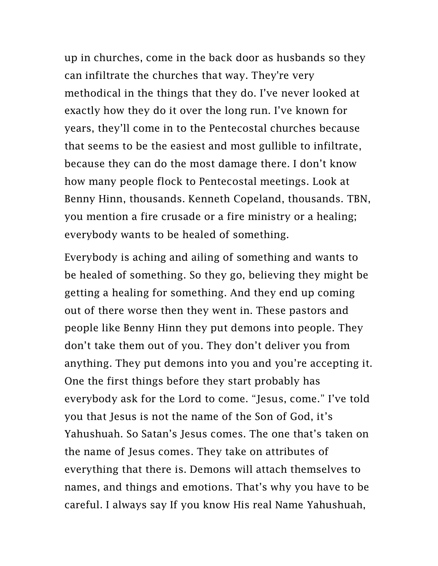up in churches, come in the back door as husbands so they can infiltrate the churches that way. They're very methodical in the things that they do. I've never looked at exactly how they do it over the long run. I've known for years, they'll come in to the Pentecostal churches because that seems to be the easiest and most gullible to infiltrate, because they can do the most damage there. I don't know how many people flock to Pentecostal meetings. Look at Benny Hinn, thousands. Kenneth Copeland, thousands. TBN, you mention a fire crusade or a fire ministry or a healing; everybody wants to be healed of something.

Everybody is aching and ailing of something and wants to be healed of something. So they go, believing they might be getting a healing for something. And they end up coming out of there worse then they went in. These pastors and people like Benny Hinn they put demons into people. They don't take them out of you. They don't deliver you from anything. They put demons into you and you're accepting it. One the first things before they start probably has everybody ask for the Lord to come. "Jesus, come." I've told you that Jesus is not the name of the Son of God, it's Yahushuah. So Satan's Jesus comes. The one that's taken on the name of Jesus comes. They take on attributes of everything that there is. Demons will attach themselves to names, and things and emotions. That's why you have to be careful. I always say If you know His real Name Yahushuah,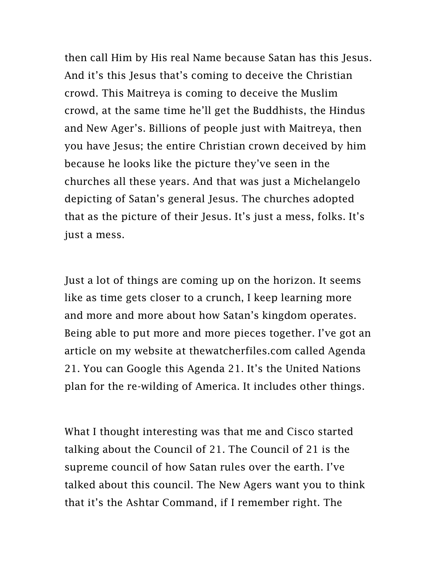then call Him by His real Name because Satan has this Jesus. And it's this Jesus that's coming to deceive the Christian crowd. This Maitreya is coming to deceive the Muslim crowd, at the same time he'll get the Buddhists, the Hindus and New Ager's. Billions of people just with Maitreya, then you have Jesus; the entire Christian crown deceived by him because he looks like the picture they've seen in the churches all these years. And that was just a Michelangelo depicting of Satan's general Jesus. The churches adopted that as the picture of their Jesus. It's just a mess, folks. It's just a mess.

Just a lot of things are coming up on the horizon. It seems like as time gets closer to a crunch, I keep learning more and more and more about how Satan's kingdom operates. Being able to put more and more pieces together. I've got an article on my website at thewatcherfiles.com called Agenda 21. You can Google this Agenda 21. It's the United Nations plan for the re-wilding of America. It includes other things.

What I thought interesting was that me and Cisco started talking about the Council of 21. The Council of 21 is the supreme council of how Satan rules over the earth. I've talked about this council. The New Agers want you to think that it's the Ashtar Command, if I remember right. The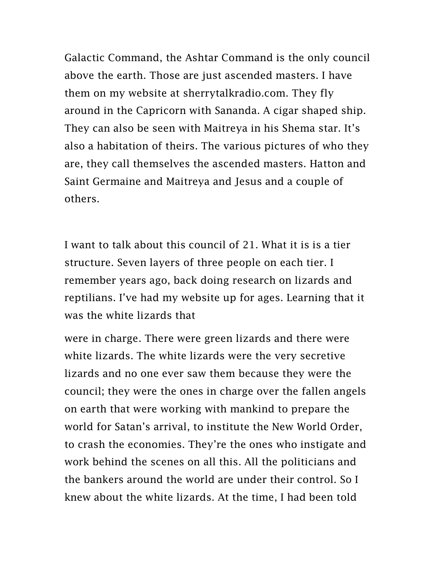Galactic Command, the Ashtar Command is the only council above the earth. Those are just ascended masters. I have them on my website at sherrytalkradio.com. They fly around in the Capricorn with Sananda. A cigar shaped ship. They can also be seen with Maitreya in his Shema star. It's also a habitation of theirs. The various pictures of who they are, they call themselves the ascended masters. Hatton and Saint Germaine and Maitreya and Jesus and a couple of others.

I want to talk about this council of 21. What it is is a tier structure. Seven layers of three people on each tier. I remember years ago, back doing research on lizards and reptilians. I've had my website up for ages. Learning that it was the white lizards that

were in charge. There were green lizards and there were white lizards. The white lizards were the very secretive lizards and no one ever saw them because they were the council; they were the ones in charge over the fallen angels on earth that were working with mankind to prepare the world for Satan's arrival, to institute the New World Order, to crash the economies. They're the ones who instigate and work behind the scenes on all this. All the politicians and the bankers around the world are under their control. So I knew about the white lizards. At the time, I had been told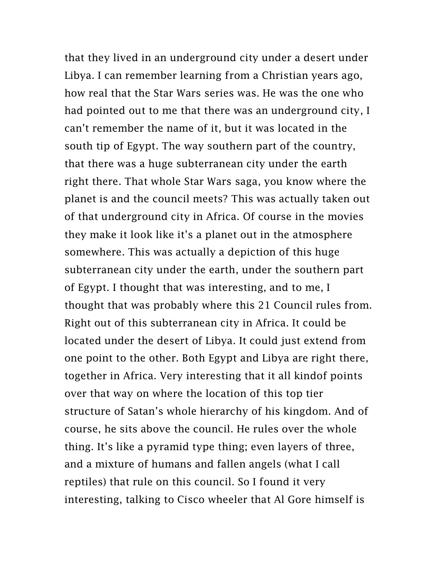that they lived in an underground city under a desert under Libya. I can remember learning from a Christian years ago, how real that the Star Wars series was. He was the one who had pointed out to me that there was an underground city, I can't remember the name of it, but it was located in the south tip of Egypt. The way southern part of the country, that there was a huge subterranean city under the earth right there. That whole Star Wars saga, you know where the planet is and the council meets? This was actually taken out of that underground city in Africa. Of course in the movies they make it look like it's a planet out in the atmosphere somewhere. This was actually a depiction of this huge subterranean city under the earth, under the southern part of Egypt. I thought that was interesting, and to me, I thought that was probably where this 21 Council rules from. Right out of this subterranean city in Africa. It could be located under the desert of Libya. It could just extend from one point to the other. Both Egypt and Libya are right there, together in Africa. Very interesting that it all kindof points over that way on where the location of this top tier structure of Satan's whole hierarchy of his kingdom. And of course, he sits above the council. He rules over the whole thing. It's like a pyramid type thing; even layers of three, and a mixture of humans and fallen angels (what I call reptiles) that rule on this council. So I found it very interesting, talking to Cisco wheeler that Al Gore himself is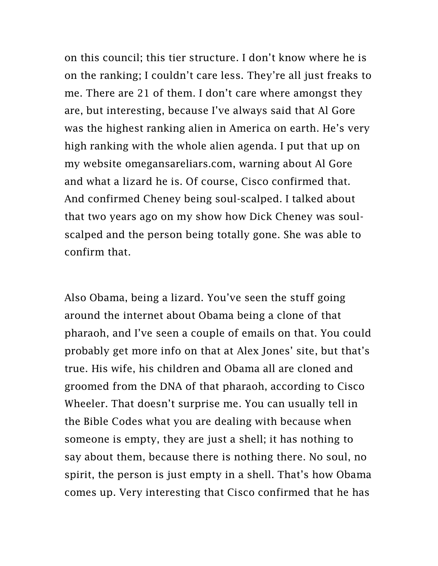on this council; this tier structure. I don't know where he is on the ranking; I couldn't care less. They're all just freaks to me. There are 21 of them. I don't care where amongst they are, but interesting, because I've always said that Al Gore was the highest ranking alien in America on earth. He's very high ranking with the whole alien agenda. I put that up on my website omegansareliars.com, warning about Al Gore and what a lizard he is. Of course, Cisco confirmed that. And confirmed Cheney being soul-scalped. I talked about that two years ago on my show how Dick Cheney was soulscalped and the person being totally gone. She was able to confirm that.

Also Obama, being a lizard. You've seen the stuff going around the internet about Obama being a clone of that pharaoh, and I've seen a couple of emails on that. You could probably get more info on that at Alex Jones' site, but that's true. His wife, his children and Obama all are cloned and groomed from the DNA of that pharaoh, according to Cisco Wheeler. That doesn't surprise me. You can usually tell in the Bible Codes what you are dealing with because when someone is empty, they are just a shell; it has nothing to say about them, because there is nothing there. No soul, no spirit, the person is just empty in a shell. That's how Obama comes up. Very interesting that Cisco confirmed that he has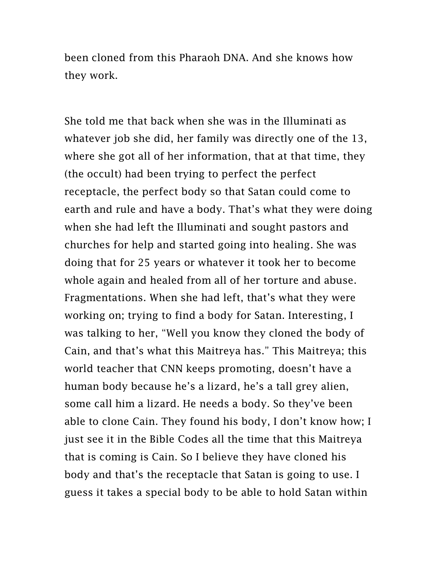been cloned from this Pharaoh DNA. And she knows how they work.

She told me that back when she was in the Illuminati as whatever job she did, her family was directly one of the 13, where she got all of her information, that at that time, they (the occult) had been trying to perfect the perfect receptacle, the perfect body so that Satan could come to earth and rule and have a body. That's what they were doing when she had left the Illuminati and sought pastors and churches for help and started going into healing. She was doing that for 25 years or whatever it took her to become whole again and healed from all of her torture and abuse. Fragmentations. When she had left, that's what they were working on; trying to find a body for Satan. Interesting, I was talking to her, "Well you know they cloned the body of Cain, and that's what this Maitreya has." This Maitreya; this world teacher that CNN keeps promoting, doesn't have a human body because he's a lizard, he's a tall grey alien, some call him a lizard. He needs a body. So they've been able to clone Cain. They found his body, I don't know how; I just see it in the Bible Codes all the time that this Maitreya that is coming is Cain. So I believe they have cloned his body and that's the receptacle that Satan is going to use. I guess it takes a special body to be able to hold Satan within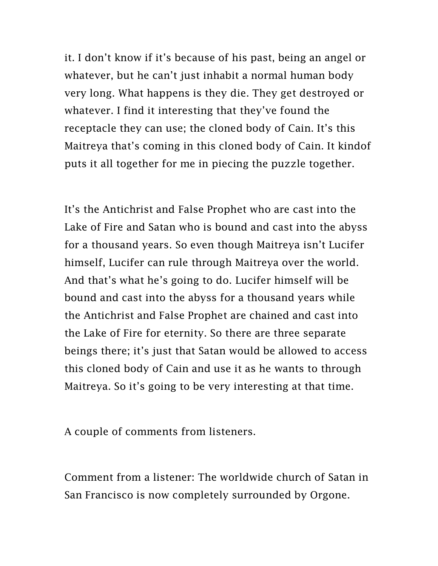it. I don't know if it's because of his past, being an angel or whatever, but he can't just inhabit a normal human body very long. What happens is they die. They get destroyed or whatever. I find it interesting that they've found the receptacle they can use; the cloned body of Cain. It's this Maitreya that's coming in this cloned body of Cain. It kindof puts it all together for me in piecing the puzzle together.

It's the Antichrist and False Prophet who are cast into the Lake of Fire and Satan who is bound and cast into the abyss for a thousand years. So even though Maitreya isn't Lucifer himself, Lucifer can rule through Maitreya over the world. And that's what he's going to do. Lucifer himself will be bound and cast into the abyss for a thousand years while the Antichrist and False Prophet are chained and cast into the Lake of Fire for eternity. So there are three separate beings there; it's just that Satan would be allowed to access this cloned body of Cain and use it as he wants to through Maitreya. So it's going to be very interesting at that time.

A couple of comments from listeners.

Comment from a listener: The worldwide church of Satan in San Francisco is now completely surrounded by Orgone.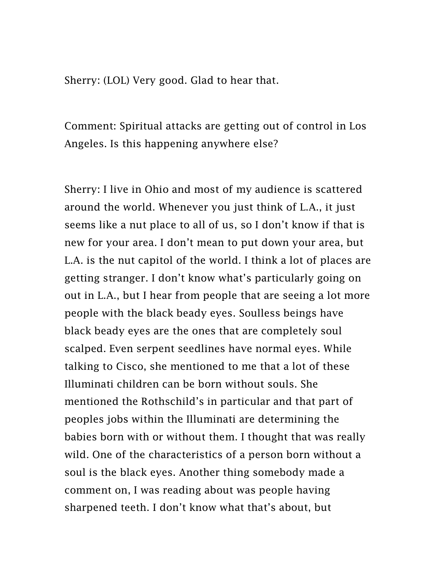Sherry: (LOL) Very good. Glad to hear that.

Comment: Spiritual attacks are getting out of control in Los Angeles. Is this happening anywhere else?

Sherry: I live in Ohio and most of my audience is scattered around the world. Whenever you just think of L.A., it just seems like a nut place to all of us, so I don't know if that is new for your area. I don't mean to put down your area, but L.A. is the nut capitol of the world. I think a lot of places are getting stranger. I don't know what's particularly going on out in L.A., but I hear from people that are seeing a lot more people with the black beady eyes. Soulless beings have black beady eyes are the ones that are completely soul scalped. Even serpent seedlines have normal eyes. While talking to Cisco, she mentioned to me that a lot of these Illuminati children can be born without souls. She mentioned the Rothschild's in particular and that part of peoples jobs within the Illuminati are determining the babies born with or without them. I thought that was really wild. One of the characteristics of a person born without a soul is the black eyes. Another thing somebody made a comment on, I was reading about was people having sharpened teeth. I don't know what that's about, but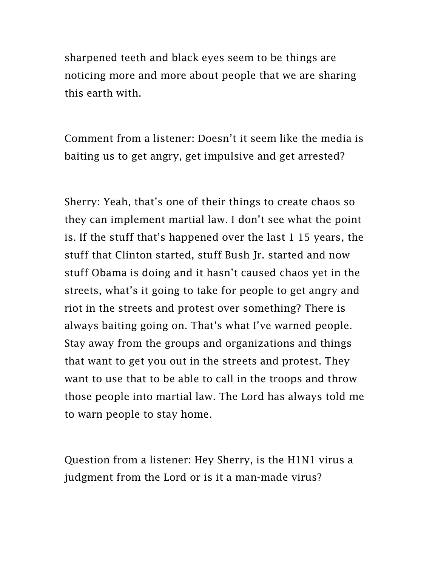sharpened teeth and black eyes seem to be things are noticing more and more about people that we are sharing this earth with.

Comment from a listener: Doesn't it seem like the media is baiting us to get angry, get impulsive and get arrested?

Sherry: Yeah, that's one of their things to create chaos so they can implement martial law. I don't see what the point is. If the stuff that's happened over the last 1 15 years, the stuff that Clinton started, stuff Bush Jr. started and now stuff Obama is doing and it hasn't caused chaos yet in the streets, what's it going to take for people to get angry and riot in the streets and protest over something? There is always baiting going on. That's what I've warned people. Stay away from the groups and organizations and things that want to get you out in the streets and protest. They want to use that to be able to call in the troops and throw those people into martial law. The Lord has always told me to warn people to stay home.

Question from a listener: Hey Sherry, is the H1N1 virus a judgment from the Lord or is it a man-made virus?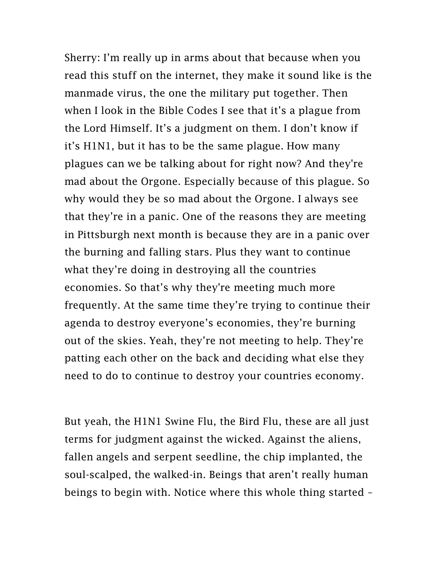Sherry: I'm really up in arms about that because when you read this stuff on the internet, they make it sound like is the manmade virus, the one the military put together. Then when I look in the Bible Codes I see that it's a plague from the Lord Himself. It's a judgment on them. I don't know if it's H1N1, but it has to be the same plague. How many plagues can we be talking about for right now? And they're mad about the Orgone. Especially because of this plague. So why would they be so mad about the Orgone. I always see that they're in a panic. One of the reasons they are meeting in Pittsburgh next month is because they are in a panic over the burning and falling stars. Plus they want to continue what they're doing in destroying all the countries economies. So that's why they're meeting much more frequently. At the same time they're trying to continue their agenda to destroy everyone's economies, they're burning out of the skies. Yeah, they're not meeting to help. They're patting each other on the back and deciding what else they need to do to continue to destroy your countries economy.

But yeah, the H1N1 Swine Flu, the Bird Flu, these are all just terms for judgment against the wicked. Against the aliens, fallen angels and serpent seedline, the chip implanted, the soul-scalped, the walked-in. Beings that aren't really human beings to begin with. Notice where this whole thing started –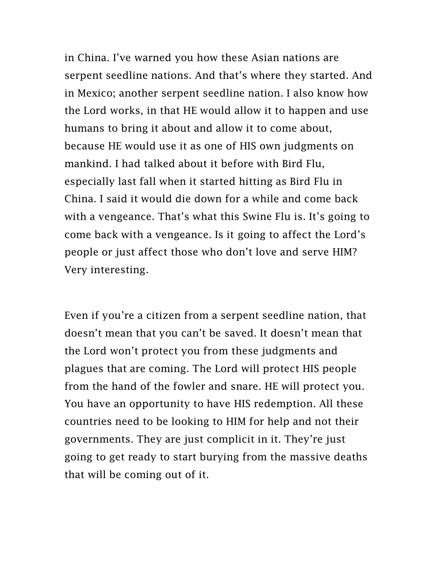in China. I've warned you how these Asian nations are serpent seedline nations. And that's where they started. And in Mexico; another serpent seedline nation. I also know how the Lord works, in that HE would allow it to happen and use humans to bring it about and allow it to come about, because HE would use it as one of HIS own judgments on mankind. I had talked about it before with Bird Flu, especially last fall when it started hitting as Bird Flu in China. I said it would die down for a while and come back with a vengeance. That's what this Swine Flu is. It's going to come back with a vengeance. Is it going to affect the Lord's people or just affect those who don't love and serve HIM? Very interesting.

Even if you're a citizen from a serpent seedline nation, that doesn't mean that you can't be saved. It doesn't mean that the Lord won't protect you from these judgments and plagues that are coming. The Lord will protect HIS people from the hand of the fowler and snare. HE will protect you. You have an opportunity to have HIS redemption. All these countries need to be looking to HIM for help and not their governments. They are just complicit in it. They're just going to get ready to start burying from the massive deaths that will be coming out of it.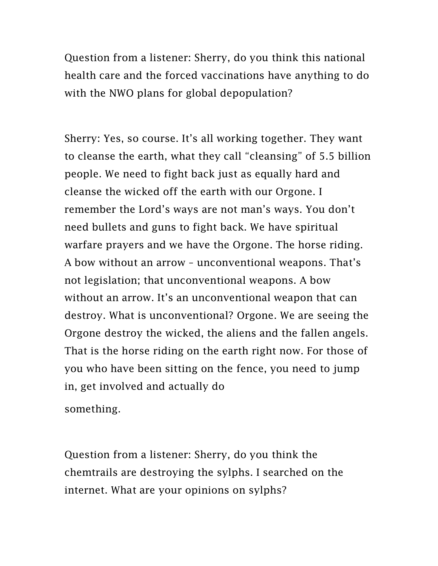Question from a listener: Sherry, do you think this national health care and the forced vaccinations have anything to do with the NWO plans for global depopulation?

Sherry: Yes, so course. It's all working together. They want to cleanse the earth, what they call "cleansing" of 5.5 billion people. We need to fight back just as equally hard and cleanse the wicked off the earth with our Orgone. I remember the Lord's ways are not man's ways. You don't need bullets and guns to fight back. We have spiritual warfare prayers and we have the Orgone. The horse riding. A bow without an arrow – unconventional weapons. That's not legislation; that unconventional weapons. A bow without an arrow. It's an unconventional weapon that can destroy. What is unconventional? Orgone. We are seeing the Orgone destroy the wicked, the aliens and the fallen angels. That is the horse riding on the earth right now. For those of you who have been sitting on the fence, you need to jump in, get involved and actually do

something.

Question from a listener: Sherry, do you think the chemtrails are destroying the sylphs. I searched on the internet. What are your opinions on sylphs?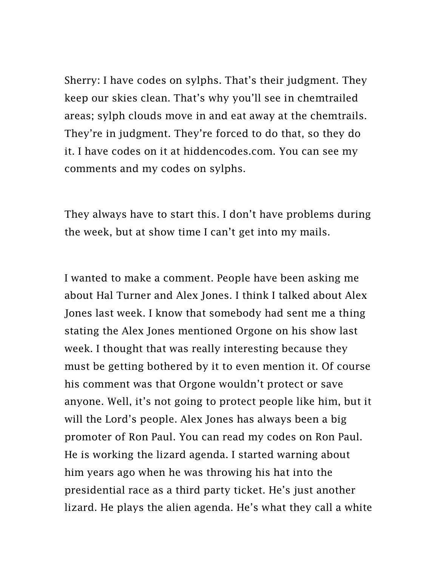Sherry: I have codes on sylphs. That's their judgment. They keep our skies clean. That's why you'll see in chemtrailed areas; sylph clouds move in and eat away at the chemtrails. They're in judgment. They're forced to do that, so they do it. I have codes on it at hiddencodes.com. You can see my comments and my codes on sylphs.

They always have to start this. I don't have problems during the week, but at show time I can't get into my mails.

I wanted to make a comment. People have been asking me about Hal Turner and Alex Jones. I think I talked about Alex Jones last week. I know that somebody had sent me a thing stating the Alex Jones mentioned Orgone on his show last week. I thought that was really interesting because they must be getting bothered by it to even mention it. Of course his comment was that Orgone wouldn't protect or save anyone. Well, it's not going to protect people like him, but it will the Lord's people. Alex Jones has always been a big promoter of Ron Paul. You can read my codes on Ron Paul. He is working the lizard agenda. I started warning about him years ago when he was throwing his hat into the presidential race as a third party ticket. He's just another lizard. He plays the alien agenda. He's what they call a white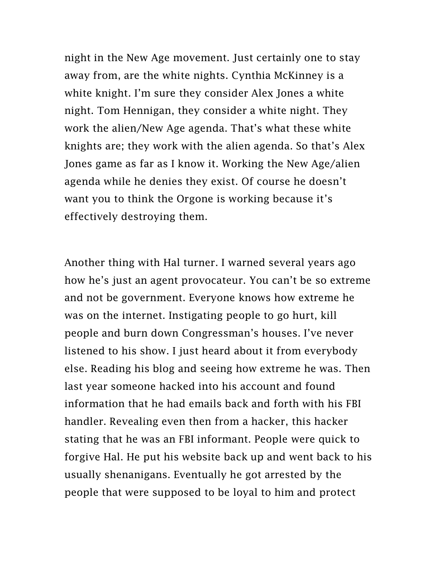night in the New Age movement. Just certainly one to stay away from, are the white nights. Cynthia McKinney is a white knight. I'm sure they consider Alex Jones a white night. Tom Hennigan, they consider a white night. They work the alien/New Age agenda. That's what these white knights are; they work with the alien agenda. So that's Alex Jones game as far as I know it. Working the New Age/alien agenda while he denies they exist. Of course he doesn't want you to think the Orgone is working because it's effectively destroying them.

Another thing with Hal turner. I warned several years ago how he's just an agent provocateur. You can't be so extreme and not be government. Everyone knows how extreme he was on the internet. Instigating people to go hurt, kill people and burn down Congressman's houses. I've never listened to his show. I just heard about it from everybody else. Reading his blog and seeing how extreme he was. Then last year someone hacked into his account and found information that he had emails back and forth with his FBI handler. Revealing even then from a hacker, this hacker stating that he was an FBI informant. People were quick to forgive Hal. He put his website back up and went back to his usually shenanigans. Eventually he got arrested by the people that were supposed to be loyal to him and protect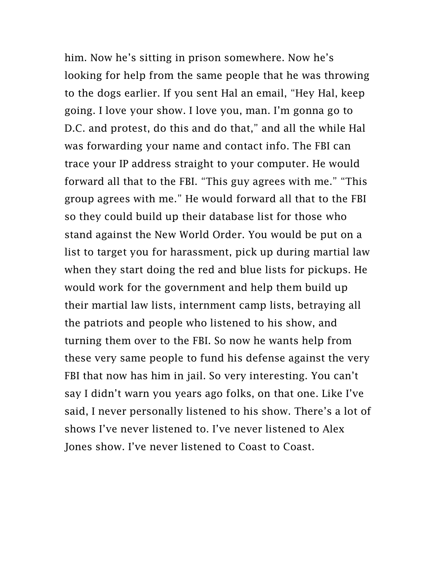him. Now he's sitting in prison somewhere. Now he's looking for help from the same people that he was throwing to the dogs earlier. If you sent Hal an email, "Hey Hal, keep going. I love your show. I love you, man. I'm gonna go to D.C. and protest, do this and do that," and all the while Hal was forwarding your name and contact info. The FBI can trace your IP address straight to your computer. He would forward all that to the FBI. "This guy agrees with me." "This group agrees with me." He would forward all that to the FBI so they could build up their database list for those who stand against the New World Order. You would be put on a list to target you for harassment, pick up during martial law when they start doing the red and blue lists for pickups. He would work for the government and help them build up their martial law lists, internment camp lists, betraying all the patriots and people who listened to his show, and turning them over to the FBI. So now he wants help from these very same people to fund his defense against the very FBI that now has him in jail. So very interesting. You can't say I didn't warn you years ago folks, on that one. Like I've said, I never personally listened to his show. There's a lot of shows I've never listened to. I've never listened to Alex Jones show. I've never listened to Coast to Coast.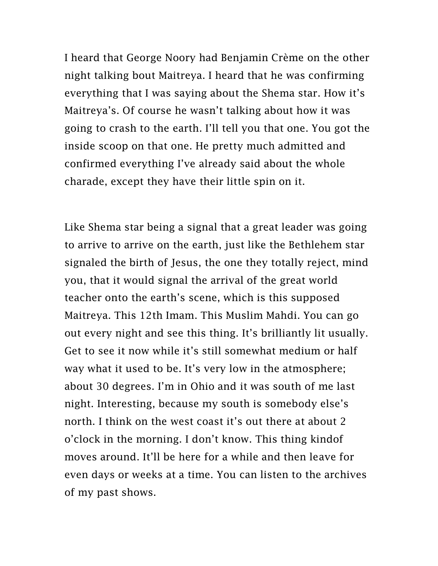I heard that George Noory had Benjamin Crème on the other night talking bout Maitreya. I heard that he was confirming everything that I was saying about the Shema star. How it's Maitreya's. Of course he wasn't talking about how it was going to crash to the earth. I'll tell you that one. You got the inside scoop on that one. He pretty much admitted and confirmed everything I've already said about the whole charade, except they have their little spin on it.

Like Shema star being a signal that a great leader was going to arrive to arrive on the earth, just like the Bethlehem star signaled the birth of Jesus, the one they totally reject, mind you, that it would signal the arrival of the great world teacher onto the earth's scene, which is this supposed Maitreya. This 12th Imam. This Muslim Mahdi. You can go out every night and see this thing. It's brilliantly lit usually. Get to see it now while it's still somewhat medium or half way what it used to be. It's very low in the atmosphere; about 30 degrees. I'm in Ohio and it was south of me last night. Interesting, because my south is somebody else's north. I think on the west coast it's out there at about 2 o'clock in the morning. I don't know. This thing kindof moves around. It'll be here for a while and then leave for even days or weeks at a time. You can listen to the archives of my past shows.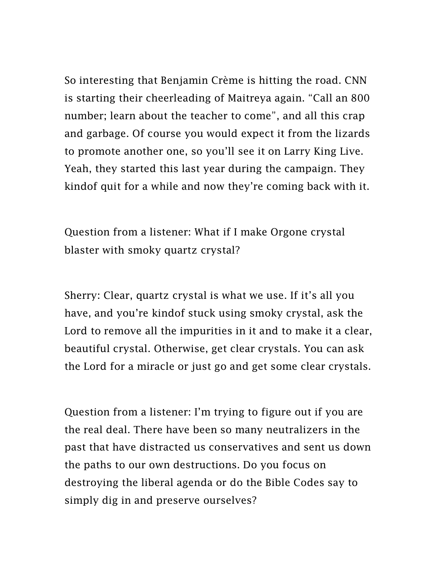So interesting that Benjamin Crème is hitting the road. CNN is starting their cheerleading of Maitreya again. "Call an 800 number; learn about the teacher to come", and all this crap and garbage. Of course you would expect it from the lizards to promote another one, so you'll see it on Larry King Live. Yeah, they started this last year during the campaign. They kindof quit for a while and now they're coming back with it.

Question from a listener: What if I make Orgone crystal blaster with smoky quartz crystal?

Sherry: Clear, quartz crystal is what we use. If it's all you have, and you're kindof stuck using smoky crystal, ask the Lord to remove all the impurities in it and to make it a clear, beautiful crystal. Otherwise, get clear crystals. You can ask the Lord for a miracle or just go and get some clear crystals.

Question from a listener: I'm trying to figure out if you are the real deal. There have been so many neutralizers in the past that have distracted us conservatives and sent us down the paths to our own destructions. Do you focus on destroying the liberal agenda or do the Bible Codes say to simply dig in and preserve ourselves?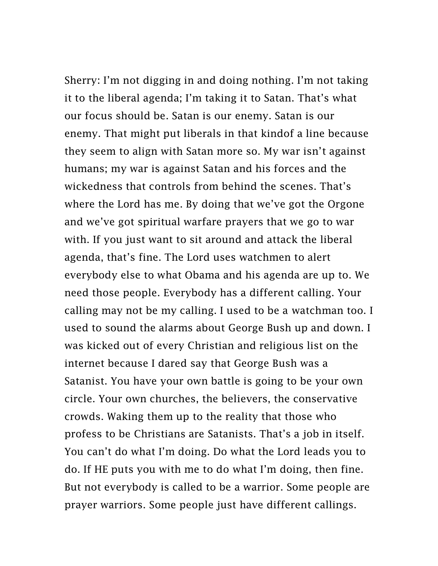Sherry: I'm not digging in and doing nothing. I'm not taking it to the liberal agenda; I'm taking it to Satan. That's what our focus should be. Satan is our enemy. Satan is our enemy. That might put liberals in that kindof a line because they seem to align with Satan more so. My war isn't against humans; my war is against Satan and his forces and the wickedness that controls from behind the scenes. That's where the Lord has me. By doing that we've got the Orgone and we've got spiritual warfare prayers that we go to war with. If you just want to sit around and attack the liberal agenda, that's fine. The Lord uses watchmen to alert everybody else to what Obama and his agenda are up to. We need those people. Everybody has a different calling. Your calling may not be my calling. I used to be a watchman too. I used to sound the alarms about George Bush up and down. I was kicked out of every Christian and religious list on the internet because I dared say that George Bush was a Satanist. You have your own battle is going to be your own circle. Your own churches, the believers, the conservative crowds. Waking them up to the reality that those who profess to be Christians are Satanists. That's a job in itself. You can't do what I'm doing. Do what the Lord leads you to do. If HE puts you with me to do what I'm doing, then fine. But not everybody is called to be a warrior. Some people are prayer warriors. Some people just have different callings.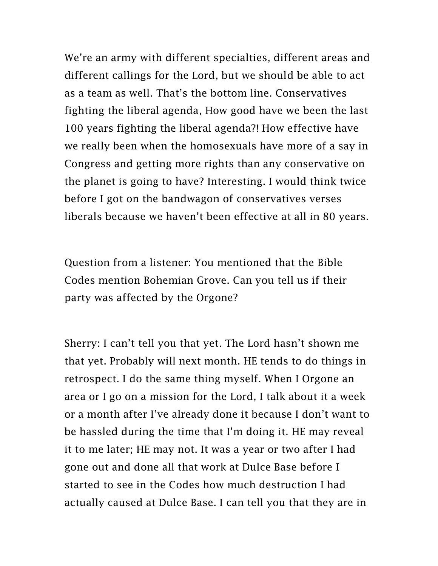We're an army with different specialties, different areas and different callings for the Lord, but we should be able to act as a team as well. That's the bottom line. Conservatives fighting the liberal agenda, How good have we been the last 100 years fighting the liberal agenda?! How effective have we really been when the homosexuals have more of a say in Congress and getting more rights than any conservative on the planet is going to have? Interesting. I would think twice before I got on the bandwagon of conservatives verses liberals because we haven't been effective at all in 80 years.

Question from a listener: You mentioned that the Bible Codes mention Bohemian Grove. Can you tell us if their party was affected by the Orgone?

Sherry: I can't tell you that yet. The Lord hasn't shown me that yet. Probably will next month. HE tends to do things in retrospect. I do the same thing myself. When I Orgone an area or I go on a mission for the Lord, I talk about it a week or a month after I've already done it because I don't want to be hassled during the time that I'm doing it. HE may reveal it to me later; HE may not. It was a year or two after I had gone out and done all that work at Dulce Base before I started to see in the Codes how much destruction I had actually caused at Dulce Base. I can tell you that they are in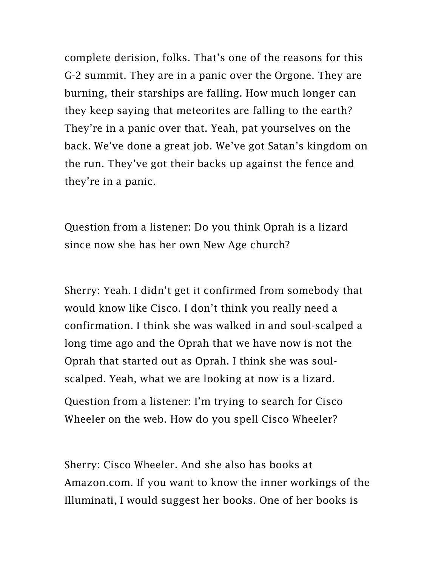complete derision, folks. That's one of the reasons for this G-2 summit. They are in a panic over the Orgone. They are burning, their starships are falling. How much longer can they keep saying that meteorites are falling to the earth? They're in a panic over that. Yeah, pat yourselves on the back. We've done a great job. We've got Satan's kingdom on the run. They've got their backs up against the fence and they're in a panic.

Question from a listener: Do you think Oprah is a lizard since now she has her own New Age church?

Sherry: Yeah. I didn't get it confirmed from somebody that would know like Cisco. I don't think you really need a confirmation. I think she was walked in and soul-scalped a long time ago and the Oprah that we have now is not the Oprah that started out as Oprah. I think she was soulscalped. Yeah, what we are looking at now is a lizard. Question from a listener: I'm trying to search for Cisco

Wheeler on the web. How do you spell Cisco Wheeler?

Sherry: Cisco Wheeler. And she also has books at Amazon.com. If you want to know the inner workings of the Illuminati, I would suggest her books. One of her books is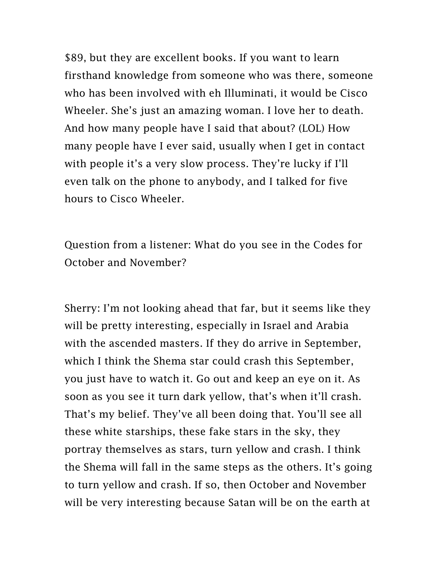\$89, but they are excellent books. If you want to learn firsthand knowledge from someone who was there, someone who has been involved with eh Illuminati, it would be Cisco Wheeler. She's just an amazing woman. I love her to death. And how many people have I said that about? (LOL) How many people have I ever said, usually when I get in contact with people it's a very slow process. They're lucky if I'll even talk on the phone to anybody, and I talked for five hours to Cisco Wheeler.

Question from a listener: What do you see in the Codes for October and November?

Sherry: I'm not looking ahead that far, but it seems like they will be pretty interesting, especially in Israel and Arabia with the ascended masters. If they do arrive in September, which I think the Shema star could crash this September, you just have to watch it. Go out and keep an eye on it. As soon as you see it turn dark yellow, that's when it'll crash. That's my belief. They've all been doing that. You'll see all these white starships, these fake stars in the sky, they portray themselves as stars, turn yellow and crash. I think the Shema will fall in the same steps as the others. It's going to turn yellow and crash. If so, then October and November will be very interesting because Satan will be on the earth at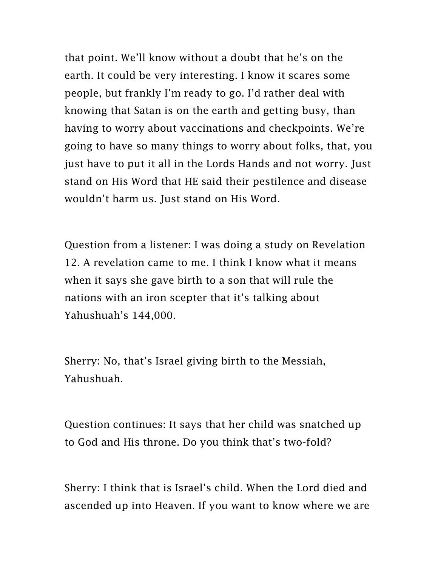that point. We'll know without a doubt that he's on the earth. It could be very interesting. I know it scares some people, but frankly I'm ready to go. I'd rather deal with knowing that Satan is on the earth and getting busy, than having to worry about vaccinations and checkpoints. We're going to have so many things to worry about folks, that, you just have to put it all in the Lords Hands and not worry. Just stand on His Word that HE said their pestilence and disease wouldn't harm us. Just stand on His Word.

Question from a listener: I was doing a study on Revelation 12. A revelation came to me. I think I know what it means when it says she gave birth to a son that will rule the nations with an iron scepter that it's talking about Yahushuah's 144,000.

Sherry: No, that's Israel giving birth to the Messiah, Yahushuah.

Question continues: It says that her child was snatched up to God and His throne. Do you think that's two-fold?

Sherry: I think that is Israel's child. When the Lord died and ascended up into Heaven. If you want to know where we are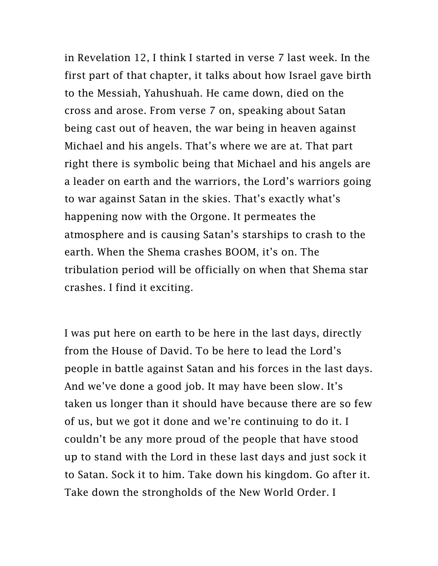in Revelation 12, I think I started in verse 7 last week. In the first part of that chapter, it talks about how Israel gave birth to the Messiah, Yahushuah. He came down, died on the cross and arose. From verse 7 on, speaking about Satan being cast out of heaven, the war being in heaven against Michael and his angels. That's where we are at. That part right there is symbolic being that Michael and his angels are a leader on earth and the warriors, the Lord's warriors going to war against Satan in the skies. That's exactly what's happening now with the Orgone. It permeates the atmosphere and is causing Satan's starships to crash to the earth. When the Shema crashes BOOM, it's on. The tribulation period will be officially on when that Shema star crashes. I find it exciting.

I was put here on earth to be here in the last days, directly from the House of David. To be here to lead the Lord's people in battle against Satan and his forces in the last days. And we've done a good job. It may have been slow. It's taken us longer than it should have because there are so few of us, but we got it done and we're continuing to do it. I couldn't be any more proud of the people that have stood up to stand with the Lord in these last days and just sock it to Satan. Sock it to him. Take down his kingdom. Go after it. Take down the strongholds of the New World Order. I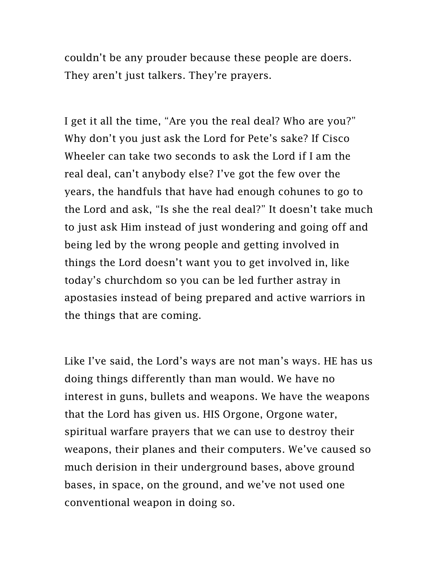couldn't be any prouder because these people are doers. They aren't just talkers. They're prayers.

I get it all the time, "Are you the real deal? Who are you?" Why don't you just ask the Lord for Pete's sake? If Cisco Wheeler can take two seconds to ask the Lord if I am the real deal, can't anybody else? I've got the few over the years, the handfuls that have had enough cohunes to go to the Lord and ask, "Is she the real deal?" It doesn't take much to just ask Him instead of just wondering and going off and being led by the wrong people and getting involved in things the Lord doesn't want you to get involved in, like today's churchdom so you can be led further astray in apostasies instead of being prepared and active warriors in the things that are coming.

Like I've said, the Lord's ways are not man's ways. HE has us doing things differently than man would. We have no interest in guns, bullets and weapons. We have the weapons that the Lord has given us. HIS Orgone, Orgone water, spiritual warfare prayers that we can use to destroy their weapons, their planes and their computers. We've caused so much derision in their underground bases, above ground bases, in space, on the ground, and we've not used one conventional weapon in doing so.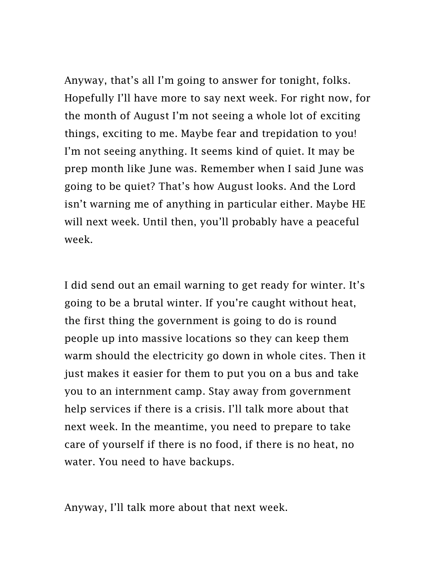Anyway, that's all I'm going to answer for tonight, folks. Hopefully I'll have more to say next week. For right now, for the month of August I'm not seeing a whole lot of exciting things, exciting to me. Maybe fear and trepidation to you! I'm not seeing anything. It seems kind of quiet. It may be prep month like June was. Remember when I said June was going to be quiet? That's how August looks. And the Lord isn't warning me of anything in particular either. Maybe HE will next week. Until then, you'll probably have a peaceful week.

I did send out an email warning to get ready for winter. It's going to be a brutal winter. If you're caught without heat, the first thing the government is going to do is round people up into massive locations so they can keep them warm should the electricity go down in whole cites. Then it just makes it easier for them to put you on a bus and take you to an internment camp. Stay away from government help services if there is a crisis. I'll talk more about that next week. In the meantime, you need to prepare to take care of yourself if there is no food, if there is no heat, no water. You need to have backups.

Anyway, I'll talk more about that next week.